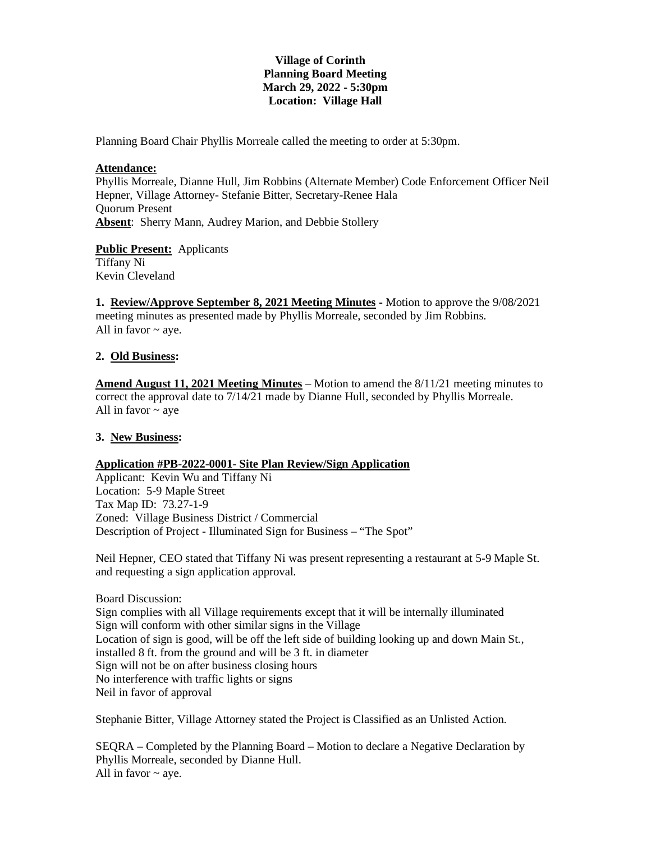# **Village of Corinth Planning Board Meeting March 29, 2022 - 5:30pm Location: Village Hall**

Planning Board Chair Phyllis Morreale called the meeting to order at 5:30pm.

### **Attendance:**

Phyllis Morreale, Dianne Hull, Jim Robbins (Alternate Member) Code Enforcement Officer Neil Hepner, Village Attorney- Stefanie Bitter, Secretary-Renee Hala Quorum Present **Absent**: Sherry Mann, Audrey Marion, and Debbie Stollery

**Public Present:** Applicants Tiffany Ni Kevin Cleveland

**1. Review/Approve September 8, 2021 Meeting Minutes -** Motion to approve the 9/08/2021 meeting minutes as presented made by Phyllis Morreale, seconded by Jim Robbins. All in favor  $\sim$  aye.

# **2. Old Business:**

**Amend August 11, 2021 Meeting Minutes** – Motion to amend the 8/11/21 meeting minutes to correct the approval date to 7/14/21 made by Dianne Hull, seconded by Phyllis Morreale. All in favor  $\sim$  ave

### **3. New Business:**

### **Application #PB-2022-0001- Site Plan Review/Sign Application**

Applicant: Kevin Wu and Tiffany Ni Location: 5-9 Maple Street Tax Map ID: 73.27-1-9 Zoned: Village Business District / Commercial Description of Project - Illuminated Sign for Business – "The Spot"

Neil Hepner, CEO stated that Tiffany Ni was present representing a restaurant at 5-9 Maple St. and requesting a sign application approval.

Board Discussion: Sign complies with all Village requirements except that it will be internally illuminated Sign will conform with other similar signs in the Village Location of sign is good, will be off the left side of building looking up and down Main St., installed 8 ft. from the ground and will be 3 ft. in diameter Sign will not be on after business closing hours No interference with traffic lights or signs Neil in favor of approval

Stephanie Bitter, Village Attorney stated the Project is Classified as an Unlisted Action.

SEQRA – Completed by the Planning Board – Motion to declare a Negative Declaration by Phyllis Morreale, seconded by Dianne Hull. All in favor  $\sim$  aye.